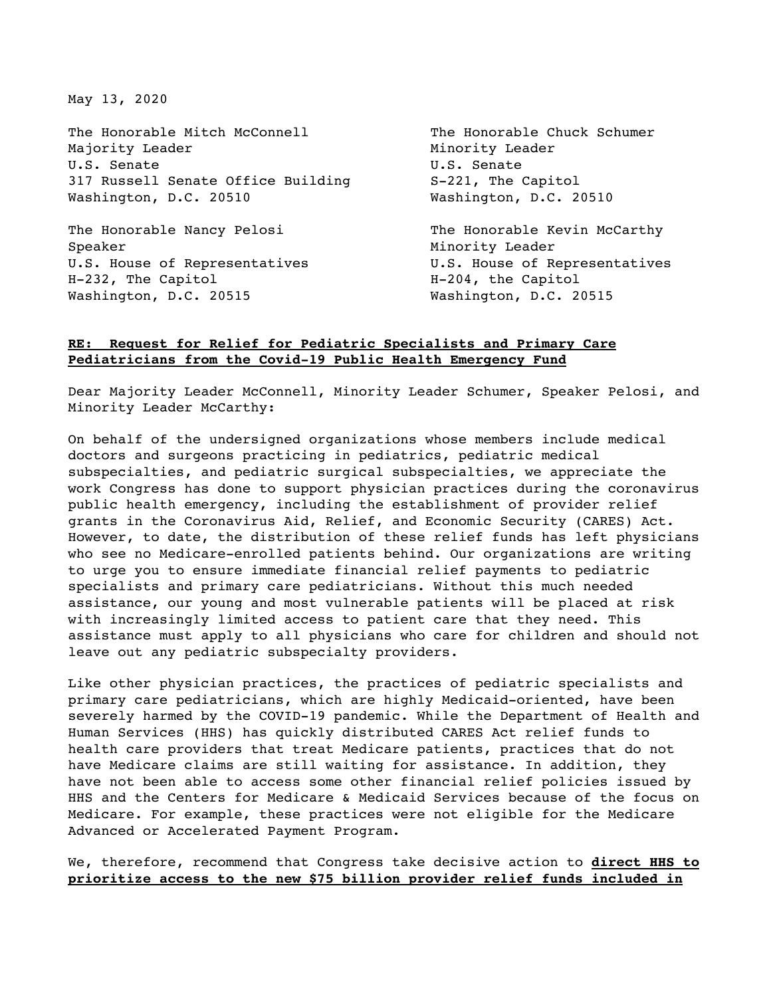May 13, 2020

The Honorable Mitch McConnell The Honorable Chuck Schumer Majority Leader **Minority Leader** Minority Leader U.S. Senate Contract U.S. Senate 317 Russell Senate Office Building S-221, The Capitol Washington, D.C. 20510 Washington, D.C. 20510

Speaker Minority Leader U.S. House of Representatives **U.S. House of Representatives** H-232, The Capitol **H-204**, the Capitol Washington, D.C. 20515 Washington, D.C. 20515

The Honorable Nancy Pelosi The Honorable Kevin McCarthy

## **RE: Request for Relief for Pediatric Specialists and Primary Care Pediatricians from the Covid-19 Public Health Emergency Fund**

Dear Majority Leader McConnell, Minority Leader Schumer, Speaker Pelosi, and Minority Leader McCarthy:

On behalf of the undersigned organizations whose members include medical doctors and surgeons practicing in pediatrics, pediatric medical subspecialties, and pediatric surgical subspecialties, we appreciate the work Congress has done to support physician practices during the coronavirus public health emergency, including the establishment of provider relief grants in the Coronavirus Aid, Relief, and Economic Security (CARES) Act. However, to date, the distribution of these relief funds has left physicians who see no Medicare-enrolled patients behind. Our organizations are writing to urge you to ensure immediate financial relief payments to pediatric specialists and primary care pediatricians. Without this much needed assistance, our young and most vulnerable patients will be placed at risk with increasingly limited access to patient care that they need. This assistance must apply to all physicians who care for children and should not leave out any pediatric subspecialty providers.

Like other physician practices, the practices of pediatric specialists and primary care pediatricians, which are highly Medicaid-oriented, have been severely harmed by the COVID-19 pandemic. While the Department of Health and Human Services (HHS) has quickly distributed CARES Act relief funds to health care providers that treat Medicare patients, practices that do not have Medicare claims are still waiting for assistance. In addition, they have not been able to access some other financial relief policies issued by HHS and the Centers for Medicare & Medicaid Services because of the focus on Medicare. For example, these practices were not eligible for the Medicare Advanced or Accelerated Payment Program.

We, therefore, recommend that Congress take decisive action to **direct HHS to prioritize access to the new \$75 billion provider relief funds included in**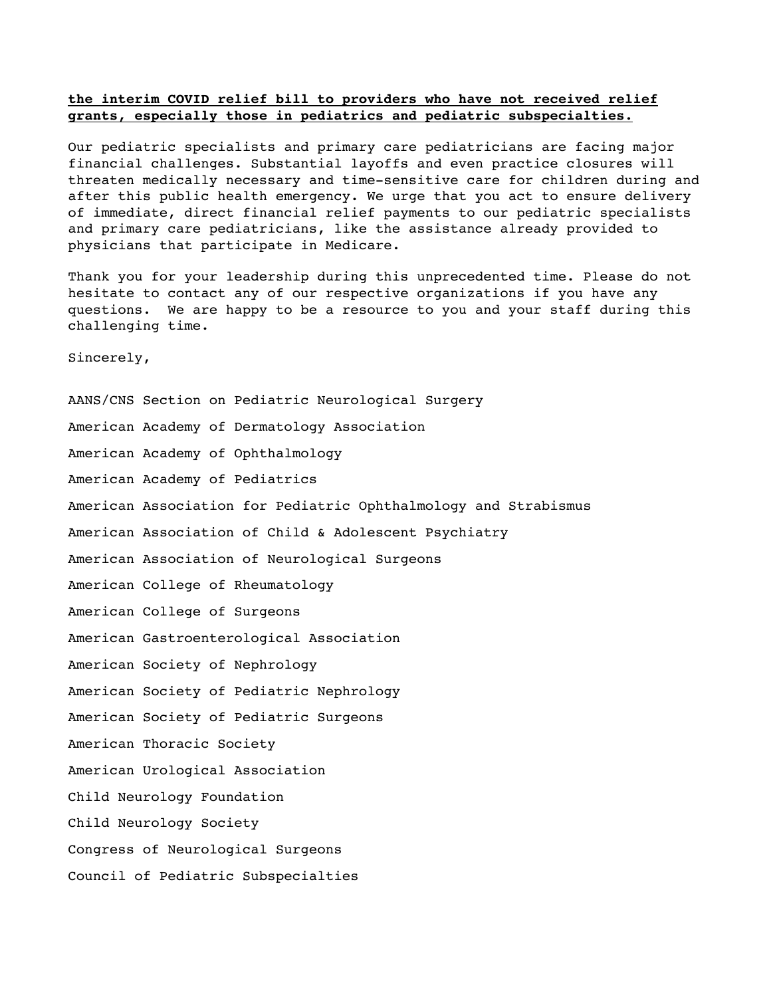## **the interim COVID relief bill to providers who have not received relief grants, especially those in pediatrics and pediatric subspecialties.**

Our pediatric specialists and primary care pediatricians are facing major financial challenges. Substantial layoffs and even practice closures will threaten medically necessary and time-sensitive care for children during and after this public health emergency. We urge that you act to ensure delivery of immediate, direct financial relief payments to our pediatric specialists and primary care pediatricians, like the assistance already provided to physicians that participate in Medicare.

Thank you for your leadership during this unprecedented time. Please do not hesitate to contact any of our respective organizations if you have any questions. We are happy to be a resource to you and your staff during this challenging time.

Sincerely,

AANS/CNS Section on Pediatric Neurological Surgery American Academy of Dermatology Association American Academy of Ophthalmology American Academy of Pediatrics American Association for Pediatric Ophthalmology and Strabismus American Association of Child & Adolescent Psychiatry American Association of Neurological Surgeons American College of Rheumatology American College of Surgeons American Gastroenterological Association American Society of Nephrology American Society of Pediatric Nephrology American Society of Pediatric Surgeons American Thoracic Society American Urological Association Child Neurology Foundation Child Neurology Society Congress of Neurological Surgeons Council of Pediatric Subspecialties